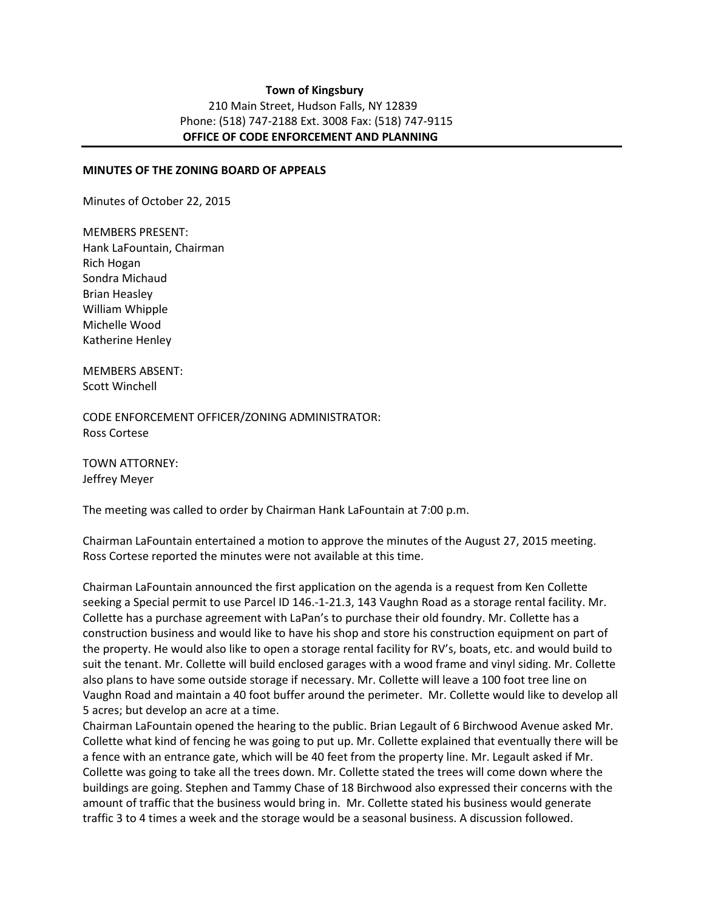#### **Town of Kingsbury**  210 Main Street, Hudson Falls, NY 12839 Phone: (518) 747-2188 Ext. 3008 Fax: (518) 747-9115  **OFFICE OF CODE ENFORCEMENT AND PLANNING**

#### **MINUTES OF THE ZONING BOARD OF APPEALS**

Minutes of October 22, 2015

MEMBERS PRESENT: Hank LaFountain, Chairman Rich Hogan Sondra Michaud Brian Heasley William Whipple Michelle Wood Katherine Henley

MEMBERS ABSENT: Scott Winchell

CODE ENFORCEMENT OFFICER/ZONING ADMINISTRATOR: Ross Cortese

TOWN ATTORNEY: Jeffrey Meyer

The meeting was called to order by Chairman Hank LaFountain at 7:00 p.m.

Chairman LaFountain entertained a motion to approve the minutes of the August 27, 2015 meeting. Ross Cortese reported the minutes were not available at this time.

Chairman LaFountain announced the first application on the agenda is a request from Ken Collette seeking a Special permit to use Parcel ID 146.-1-21.3, 143 Vaughn Road as a storage rental facility. Mr. Collette has a purchase agreement with LaPan's to purchase their old foundry. Mr. Collette has a construction business and would like to have his shop and store his construction equipment on part of the property. He would also like to open a storage rental facility for RV's, boats, etc. and would build to suit the tenant. Mr. Collette will build enclosed garages with a wood frame and vinyl siding. Mr. Collette also plans to have some outside storage if necessary. Mr. Collette will leave a 100 foot tree line on Vaughn Road and maintain a 40 foot buffer around the perimeter. Mr. Collette would like to develop all 5 acres; but develop an acre at a time.

Chairman LaFountain opened the hearing to the public. Brian Legault of 6 Birchwood Avenue asked Mr. Collette what kind of fencing he was going to put up. Mr. Collette explained that eventually there will be a fence with an entrance gate, which will be 40 feet from the property line. Mr. Legault asked if Mr. Collette was going to take all the trees down. Mr. Collette stated the trees will come down where the buildings are going. Stephen and Tammy Chase of 18 Birchwood also expressed their concerns with the amount of traffic that the business would bring in. Mr. Collette stated his business would generate traffic 3 to 4 times a week and the storage would be a seasonal business. A discussion followed.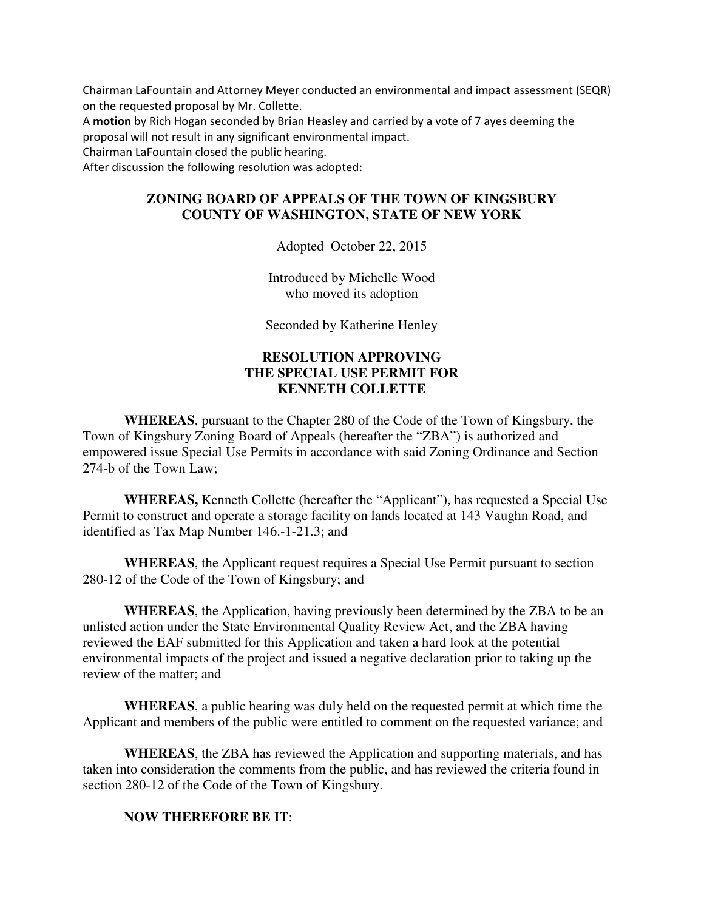Chairman LaFountain and Attorney Meyer conducted an environmental and impact assessment (SEQR) on the requested proposal by Mr. Collette.

A **motion** by Rich Hogan seconded by Brian Heasley and carried by a vote of 7 ayes deeming the proposal will not result in any significant environmental impact.

Chairman LaFountain closed the public hearing.

After discussion the following resolution was adopted:

### **ZONING BOARD OF APPEALS OF THE TOWN OF KINGSBURY COUNTY OF WASHINGTON, STATE OF NEW YORK**

Adopted October 22, 2015

Introduced by Michelle Wood who moved its adoption

Seconded by Katherine Henley

# **RESOLUTION APPROVING THE SPECIAL USE PERMIT FOR KENNETH COLLETTE**

**WHEREAS**, pursuant to the Chapter 280 of the Code of the Town of Kingsbury, the Town of Kingsbury Zoning Board of Appeals (hereafter the "ZBA") is authorized and empowered issue Special Use Permits in accordance with said Zoning Ordinance and Section 274-b of the Town Law;

**WHEREAS,** Kenneth Collette (hereafter the "Applicant"), has requested a Special Use Permit to construct and operate a storage facility on lands located at 143 Vaughn Road, and identified as Tax Map Number 146.-1-21.3; and

**WHEREAS**, the Applicant request requires a Special Use Permit pursuant to section 280-12 of the Code of the Town of Kingsbury; and

**WHEREAS**, the Application, having previously been determined by the ZBA to be an unlisted action under the State Environmental Quality Review Act, and the ZBA having reviewed the EAF submitted for this Application and taken a hard look at the potential environmental impacts of the project and issued a negative declaration prior to taking up the review of the matter; and

**WHEREAS**, a public hearing was duly held on the requested permit at which time the Applicant and members of the public were entitled to comment on the requested variance; and

**WHEREAS**, the ZBA has reviewed the Application and supporting materials, and has taken into consideration the comments from the public, and has reviewed the criteria found in section 280-12 of the Code of the Town of Kingsbury.

#### **NOW THEREFORE BE IT**: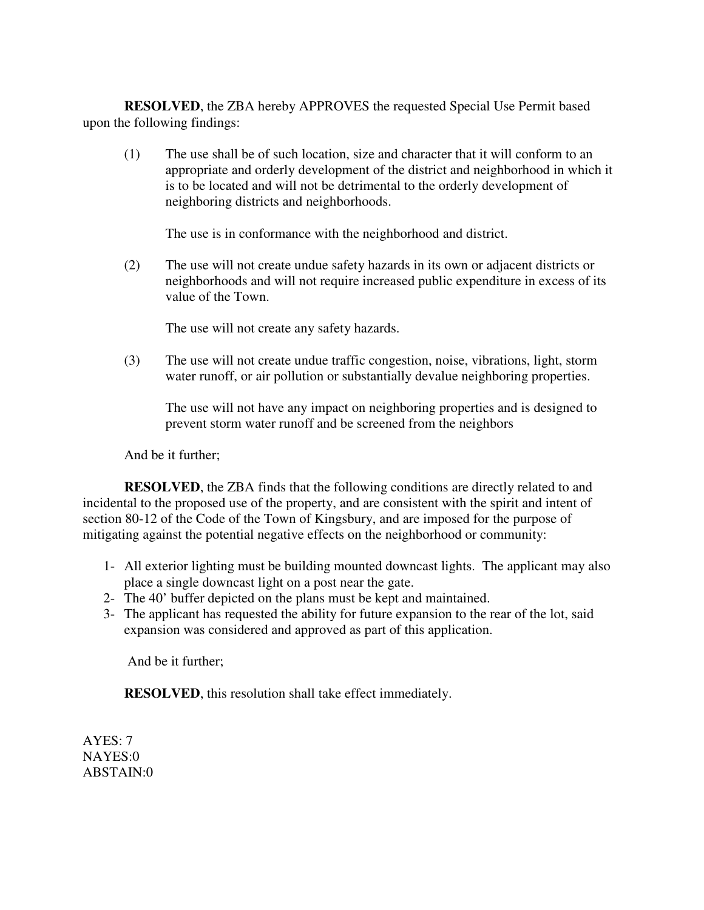**RESOLVED**, the ZBA hereby APPROVES the requested Special Use Permit based upon the following findings:

(1) The use shall be of such location, size and character that it will conform to an appropriate and orderly development of the district and neighborhood in which it is to be located and will not be detrimental to the orderly development of neighboring districts and neighborhoods.

The use is in conformance with the neighborhood and district.

(2) The use will not create undue safety hazards in its own or adjacent districts or neighborhoods and will not require increased public expenditure in excess of its value of the Town.

The use will not create any safety hazards.

(3) The use will not create undue traffic congestion, noise, vibrations, light, storm water runoff, or air pollution or substantially devalue neighboring properties.

The use will not have any impact on neighboring properties and is designed to prevent storm water runoff and be screened from the neighbors

And be it further;

**RESOLVED**, the ZBA finds that the following conditions are directly related to and incidental to the proposed use of the property, and are consistent with the spirit and intent of section 80-12 of the Code of the Town of Kingsbury, and are imposed for the purpose of mitigating against the potential negative effects on the neighborhood or community:

- 1- All exterior lighting must be building mounted downcast lights. The applicant may also place a single downcast light on a post near the gate.
- 2- The 40' buffer depicted on the plans must be kept and maintained.
- 3- The applicant has requested the ability for future expansion to the rear of the lot, said expansion was considered and approved as part of this application.

And be it further;

**RESOLVED**, this resolution shall take effect immediately.

AYES: 7 NAYES:0 ABSTAIN:0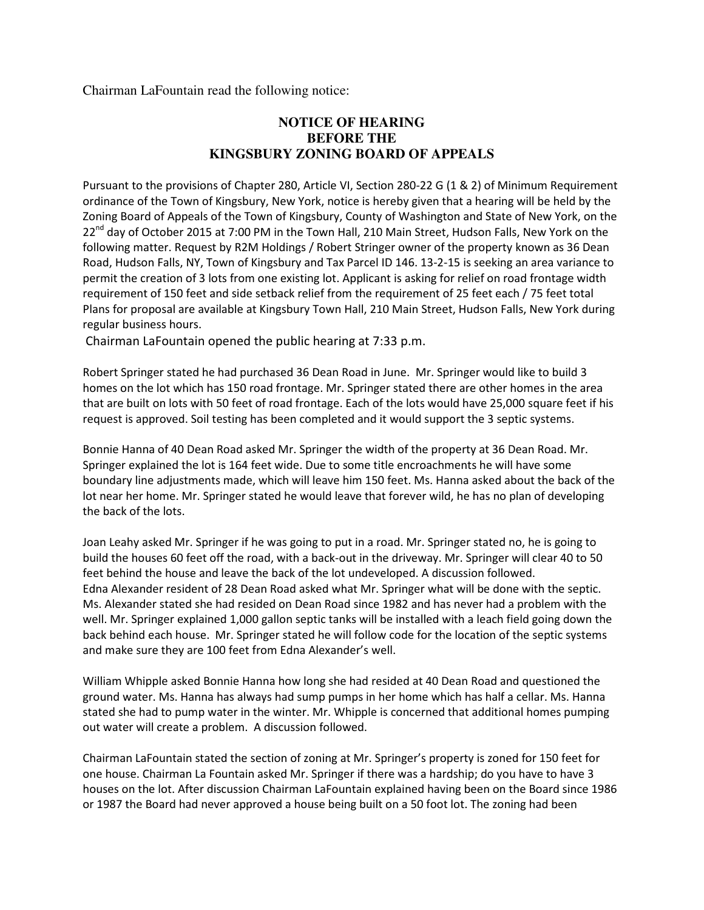Chairman LaFountain read the following notice:

# **NOTICE OF HEARING BEFORE THE KINGSBURY ZONING BOARD OF APPEALS**

Pursuant to the provisions of Chapter 280, Article VI, Section 280-22 G (1 & 2) of Minimum Requirement ordinance of the Town of Kingsbury, New York, notice is hereby given that a hearing will be held by the Zoning Board of Appeals of the Town of Kingsbury, County of Washington and State of New York, on the 22<sup>nd</sup> day of October 2015 at 7:00 PM in the Town Hall, 210 Main Street, Hudson Falls, New York on the following matter. Request by R2M Holdings / Robert Stringer owner of the property known as 36 Dean Road, Hudson Falls, NY, Town of Kingsbury and Tax Parcel ID 146. 13-2-15 is seeking an area variance to permit the creation of 3 lots from one existing lot. Applicant is asking for relief on road frontage width requirement of 150 feet and side setback relief from the requirement of 25 feet each / 75 feet total Plans for proposal are available at Kingsbury Town Hall, 210 Main Street, Hudson Falls, New York during regular business hours.

Chairman LaFountain opened the public hearing at 7:33 p.m.

Robert Springer stated he had purchased 36 Dean Road in June. Mr. Springer would like to build 3 homes on the lot which has 150 road frontage. Mr. Springer stated there are other homes in the area that are built on lots with 50 feet of road frontage. Each of the lots would have 25,000 square feet if his request is approved. Soil testing has been completed and it would support the 3 septic systems.

Bonnie Hanna of 40 Dean Road asked Mr. Springer the width of the property at 36 Dean Road. Mr. Springer explained the lot is 164 feet wide. Due to some title encroachments he will have some boundary line adjustments made, which will leave him 150 feet. Ms. Hanna asked about the back of the lot near her home. Mr. Springer stated he would leave that forever wild, he has no plan of developing the back of the lots.

Joan Leahy asked Mr. Springer if he was going to put in a road. Mr. Springer stated no, he is going to build the houses 60 feet off the road, with a back-out in the driveway. Mr. Springer will clear 40 to 50 feet behind the house and leave the back of the lot undeveloped. A discussion followed. Edna Alexander resident of 28 Dean Road asked what Mr. Springer what will be done with the septic. Ms. Alexander stated she had resided on Dean Road since 1982 and has never had a problem with the well. Mr. Springer explained 1,000 gallon septic tanks will be installed with a leach field going down the back behind each house. Mr. Springer stated he will follow code for the location of the septic systems and make sure they are 100 feet from Edna Alexander's well.

William Whipple asked Bonnie Hanna how long she had resided at 40 Dean Road and questioned the ground water. Ms. Hanna has always had sump pumps in her home which has half a cellar. Ms. Hanna stated she had to pump water in the winter. Mr. Whipple is concerned that additional homes pumping out water will create a problem. A discussion followed.

Chairman LaFountain stated the section of zoning at Mr. Springer's property is zoned for 150 feet for one house. Chairman La Fountain asked Mr. Springer if there was a hardship; do you have to have 3 houses on the lot. After discussion Chairman LaFountain explained having been on the Board since 1986 or 1987 the Board had never approved a house being built on a 50 foot lot. The zoning had been